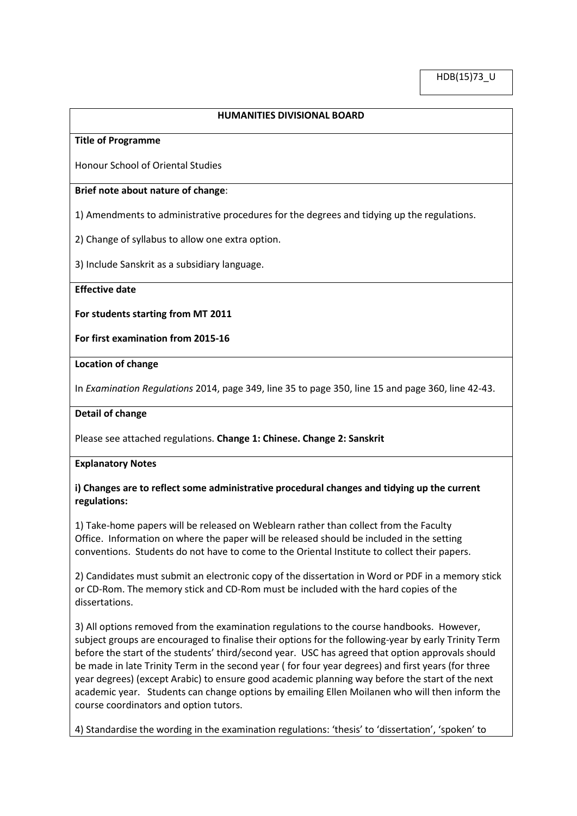## **HUMANITIES DIVISIONAL BOARD**

#### **Title of Programme**

Honour School of Oriental Studies

### **Brief note about nature of change**:

1) Amendments to administrative procedures for the degrees and tidying up the regulations.

2) Change of syllabus to allow one extra option.

3) Include Sanskrit as a subsidiary language.

**Effective date**

#### **For students starting from MT 2011**

**For first examination from 2015-16**

#### **Location of change**

In *Examination Regulations* 2014, page 349, line 35 to page 350, line 15 and page 360, line 42-43.

### **Detail of change**

Please see attached regulations. **Change 1: Chinese. Change 2: Sanskrit**

#### **Explanatory Notes**

# **i) Changes are to reflect some administrative procedural changes and tidying up the current regulations:**

1) Take-home papers will be released on Weblearn rather than collect from the Faculty Office. Information on where the paper will be released should be included in the setting conventions. Students do not have to come to the Oriental Institute to collect their papers.

2) Candidates must submit an electronic copy of the dissertation in Word or PDF in a memory stick or CD-Rom. The memory stick and CD-Rom must be included with the hard copies of the dissertations.

3) All options removed from the examination regulations to the course handbooks. However, subject groups are encouraged to finalise their options for the following-year by early Trinity Term before the start of the students' third/second year. USC has agreed that option approvals should be made in late Trinity Term in the second year ( for four year degrees) and first years (for three year degrees) (except Arabic) to ensure good academic planning way before the start of the next academic year. Students can change options by emailing Ellen Moilanen who will then inform the course coordinators and option tutors.

4) Standardise the wording in the examination regulations: 'thesis' to 'dissertation', 'spoken' to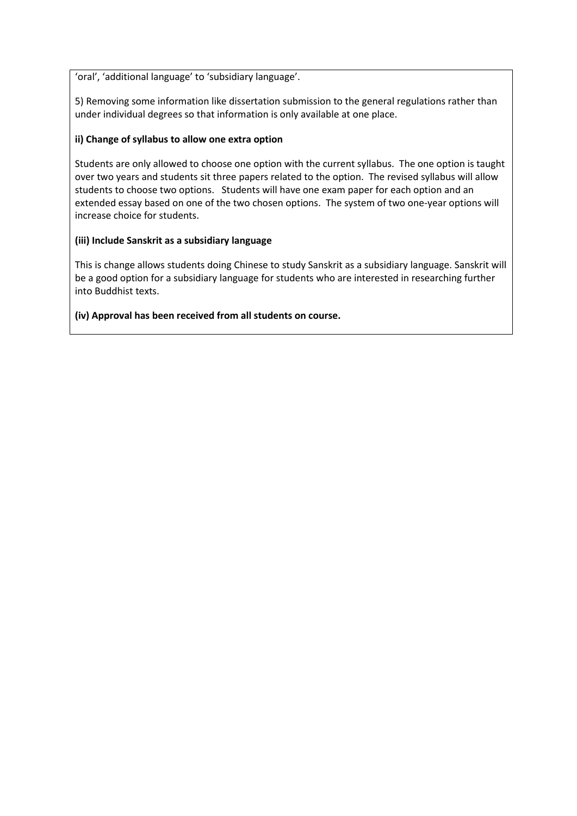'oral', 'additional language' to 'subsidiary language'.

5) Removing some information like dissertation submission to the general regulations rather than under individual degrees so that information is only available at one place.

# **ii) Change of syllabus to allow one extra option**

Students are only allowed to choose one option with the current syllabus. The one option is taught over two years and students sit three papers related to the option. The revised syllabus will allow students to choose two options. Students will have one exam paper for each option and an extended essay based on one of the two chosen options. The system of two one-year options will increase choice for students.

# **(iii) Include Sanskrit as a subsidiary language**

This is change allows students doing Chinese to study Sanskrit as a subsidiary language. Sanskrit will be a good option for a subsidiary language for students who are interested in researching further into Buddhist texts.

# **(iv) Approval has been received from all students on course.**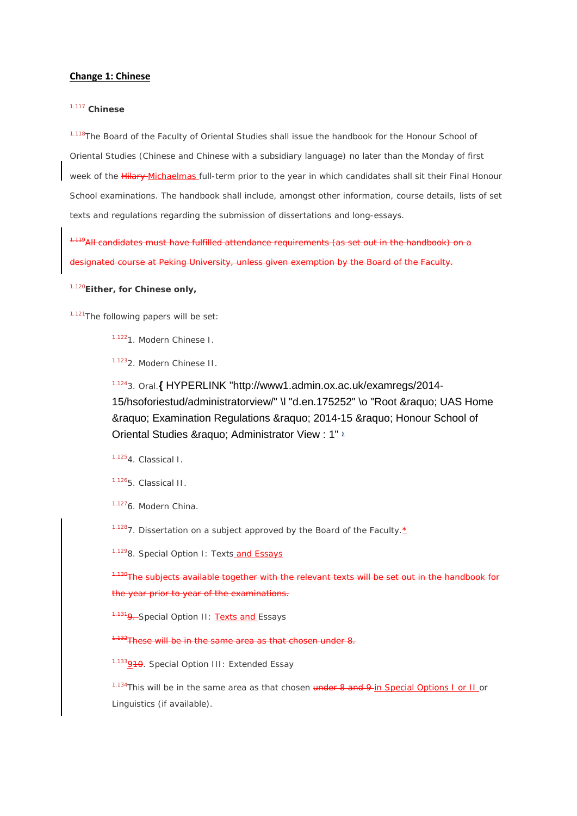#### **Change 1: Chinese**

## 1.117 **Chinese**

<sup>1.118</sup>The Board of the Faculty of Oriental Studies shall issue the handbook for the Honour School of Oriental Studies (Chinese and Chinese with a subsidiary language) no later than the Monday of first week of the Hilary-Michaelmas full-term prior to the year in which candidates shall sit their Final Honour School examinations. The handbook shall include, amongst other information, course details, lists of set texts and regulations regarding the submission of dissertations and long-essays.

 $1.11$  candidates must have fulfilled attendance requirements (as set out in the handbook) on a ignated course at Peking University, unless given exemption by the Board of the Faculty.

1.120*Either, for Chinese only,*

1.121The following papers will be set:

1.1221. Modern Chinese I.

1.1232. Modern Chinese II.

1.1243. Oral.**{** [HYPERLINK "http://www1.admin.ox.ac.uk/examregs/2014-](http://www1.admin.ox.ac.uk/examregs/2014-15/hsoforiestud/administratorview/%23d.en.175252) [15/hsoforiestud/administratorview/" \l "d.en.175252" \o "Root » UAS Home](http://www1.admin.ox.ac.uk/examregs/2014-15/hsoforiestud/administratorview/%23d.en.175252)  » Examination Regulations » 2014-15 » Honour School of Oriental Studies & raquo; Administrator View : 1" 2

1.1254. Classical I.

1.1265. Classical II.

1.1276. Modern China.

<sup>1.128</sup>7. Dissertation on a subject approved by the Board of the Faculty. $\pm$ 

1.1298. Special Option I: Texts and Essays

 $^0$ The subjects available together with the relevant texts will be set out in the handbook for the year prior to year of the examinations.

<sup>131</sup>9. Special Option II: Texts and Essays

 $32$ These will be in the same area as that chosen under 8.

<sup>1.133</sup>9<del>10</del>. Special Option III: Extended Essay

1.134This will be in the same area as that chosen under 8 and 9-in Special Options I or II or Linguistics (if available).